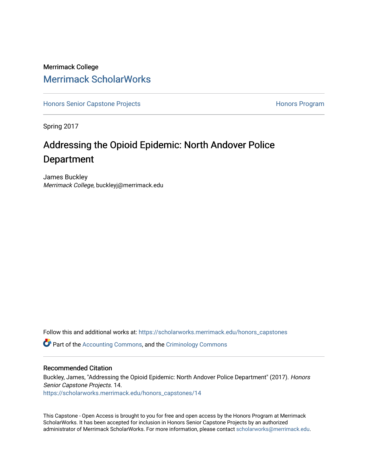# Merrimack College [Merrimack ScholarWorks](https://scholarworks.merrimack.edu/)

[Honors Senior Capstone Projects](https://scholarworks.merrimack.edu/honors_capstones) **Honors Program** Honors Program

Spring 2017

# Addressing the Opioid Epidemic: North Andover Police Department

James Buckley Merrimack College, buckleyj@merrimack.edu

Follow this and additional works at: [https://scholarworks.merrimack.edu/honors\\_capstones](https://scholarworks.merrimack.edu/honors_capstones?utm_source=scholarworks.merrimack.edu%2Fhonors_capstones%2F14&utm_medium=PDF&utm_campaign=PDFCoverPages)

Part of the [Accounting Commons](http://network.bepress.com/hgg/discipline/625?utm_source=scholarworks.merrimack.edu%2Fhonors_capstones%2F14&utm_medium=PDF&utm_campaign=PDFCoverPages), and the [Criminology Commons](http://network.bepress.com/hgg/discipline/417?utm_source=scholarworks.merrimack.edu%2Fhonors_capstones%2F14&utm_medium=PDF&utm_campaign=PDFCoverPages)

#### Recommended Citation

Buckley, James, "Addressing the Opioid Epidemic: North Andover Police Department" (2017). Honors Senior Capstone Projects. 14. [https://scholarworks.merrimack.edu/honors\\_capstones/14](https://scholarworks.merrimack.edu/honors_capstones/14?utm_source=scholarworks.merrimack.edu%2Fhonors_capstones%2F14&utm_medium=PDF&utm_campaign=PDFCoverPages) 

This Capstone - Open Access is brought to you for free and open access by the Honors Program at Merrimack ScholarWorks. It has been accepted for inclusion in Honors Senior Capstone Projects by an authorized administrator of Merrimack ScholarWorks. For more information, please contact [scholarworks@merrimack.edu](mailto:scholarworks@merrimack.edu).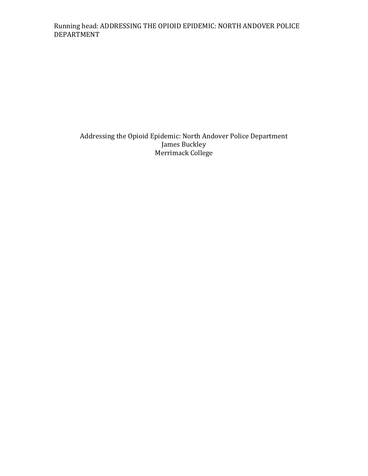# Running head: ADDRESSING THE OPIOID EPIDEMIC: NORTH ANDOVER POLICE DEPARTMENT

Addressing the Opioid Epidemic: North Andover Police Department James Buckley Merrimack College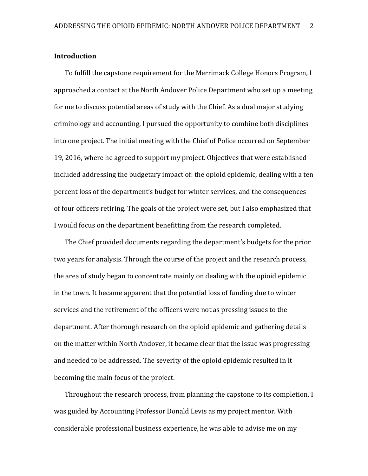### **Introduction**

To fulfill the capstone requirement for the Merrimack College Honors Program, I approached a contact at the North Andover Police Department who set up a meeting for me to discuss potential areas of study with the Chief. As a dual major studying criminology and accounting, I pursued the opportunity to combine both disciplines into one project. The initial meeting with the Chief of Police occurred on September 19, 2016, where he agreed to support my project. Objectives that were established included addressing the budgetary impact of: the opioid epidemic, dealing with a ten percent loss of the department's budget for winter services, and the consequences of four officers retiring. The goals of the project were set, but I also emphasized that I would focus on the department benefitting from the research completed.

The Chief provided documents regarding the department's budgets for the prior two years for analysis. Through the course of the project and the research process, the area of study began to concentrate mainly on dealing with the opioid epidemic in the town. It became apparent that the potential loss of funding due to winter services and the retirement of the officers were not as pressing issues to the department. After thorough research on the opioid epidemic and gathering details on the matter within North Andover, it became clear that the issue was progressing and needed to be addressed. The severity of the opioid epidemic resulted in it becoming the main focus of the project.

Throughout the research process, from planning the capstone to its completion, I was guided by Accounting Professor Donald Levis as my project mentor. With considerable professional business experience, he was able to advise me on my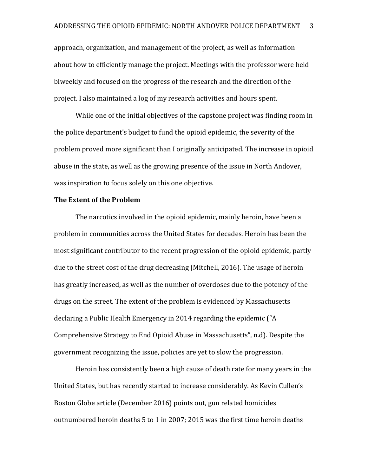approach, organization, and management of the project, as well as information about how to efficiently manage the project. Meetings with the professor were held biweekly and focused on the progress of the research and the direction of the project. I also maintained a log of my research activities and hours spent.

While one of the initial objectives of the capstone project was finding room in the police department's budget to fund the opioid epidemic, the severity of the problem proved more significant than I originally anticipated. The increase in opioid abuse in the state, as well as the growing presence of the issue in North Andover, was inspiration to focus solely on this one objective.

#### **The Extent of the Problem**

The narcotics involved in the opioid epidemic, mainly heroin, have been a problem in communities across the United States for decades. Heroin has been the most significant contributor to the recent progression of the opioid epidemic, partly due to the street cost of the drug decreasing (Mitchell, 2016). The usage of heroin has greatly increased, as well as the number of overdoses due to the potency of the drugs on the street. The extent of the problem is evidenced by Massachusetts declaring a Public Health Emergency in 2014 regarding the epidemic ("A Comprehensive Strategy to End Opioid Abuse in Massachusetts", n.d). Despite the government recognizing the issue, policies are yet to slow the progression.

Heroin has consistently been a high cause of death rate for many years in the United States, but has recently started to increase considerably. As Kevin Cullen's Boston Globe article (December 2016) points out, gun related homicides outnumbered heroin deaths 5 to 1 in 2007; 2015 was the first time heroin deaths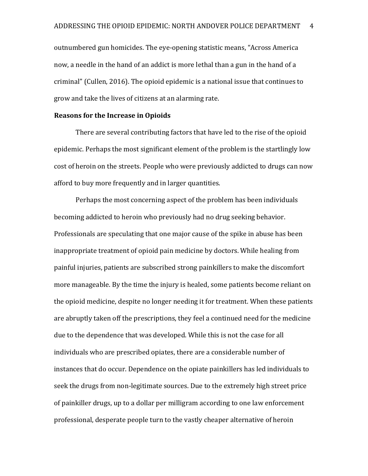outnumbered gun homicides. The eye-opening statistic means, "Across America now, a needle in the hand of an addict is more lethal than a gun in the hand of a criminal" (Cullen, 2016). The opioid epidemic is a national issue that continues to grow and take the lives of citizens at an alarming rate.

#### **Reasons for the Increase in Opioids**

There are several contributing factors that have led to the rise of the opioid epidemic. Perhaps the most significant element of the problem is the startlingly low cost of heroin on the streets. People who were previously addicted to drugs can now afford to buy more frequently and in larger quantities.

Perhaps the most concerning aspect of the problem has been individuals becoming addicted to heroin who previously had no drug seeking behavior. Professionals are speculating that one major cause of the spike in abuse has been inappropriate treatment of opioid pain medicine by doctors. While healing from painful injuries, patients are subscribed strong painkillers to make the discomfort more manageable. By the time the injury is healed, some patients become reliant on the opioid medicine, despite no longer needing it for treatment. When these patients are abruptly taken off the prescriptions, they feel a continued need for the medicine due to the dependence that was developed. While this is not the case for all individuals who are prescribed opiates, there are a considerable number of instances that do occur. Dependence on the opiate painkillers has led individuals to seek the drugs from non-legitimate sources. Due to the extremely high street price of painkiller drugs, up to a dollar per milligram according to one law enforcement professional, desperate people turn to the vastly cheaper alternative of heroin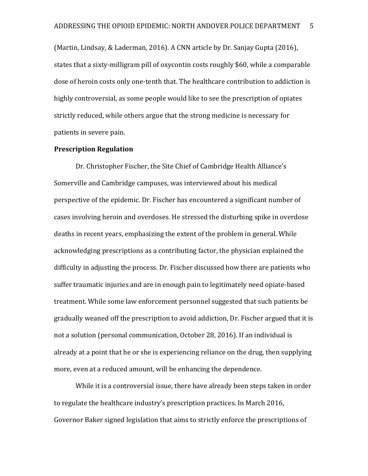(Martin, Lindsay, & Laderman, 2016). A CNN article by Dr. Sanjay Gupta (2016), states that a sixty-milligram pill of oxycontin costs roughly \$60, while a comparable dose of heroin costs only one-tenth that. The healthcare contribution to addiction is highly controversial, as some people would like to see the prescription of opiates strictly reduced, while others argue that the strong medicine is necessary for patients in severe pain.

#### **Prescription Regulation**

Dr. Christopher Fischer, the Site Chief of Cambridge Health Alliance's Somerville and Cambridge campuses, was interviewed about his medical perspective of the epidemic. Dr. Fischer has encountered a significant number of cases involving heroin and overdoses. He stressed the disturbing spike in overdose deaths in recent years, emphasizing the extent of the problem in general. While acknowledging prescriptions as a contributing factor, the physician explained the difficulty in adjusting the process. Dr. Fischer discussed how there are patients who suffer traumatic injuries and are in enough pain to legitimately need opiate-based treatment. While some law enforcement personnel suggested that such patients be gradually weaned off the prescription to avoid addiction, Dr. Fischer argued that it is not a solution (personal communication, October 28, 2016). If an individual is already at a point that he or she is experiencing reliance on the drug, then supplying more, even at a reduced amount, will be enhancing the dependence.

While it is a controversial issue, there have already been steps taken in order to regulate the healthcare industry's prescription practices. In March 2016, Governor Baker signed legislation that aims to strictly enforce the prescriptions of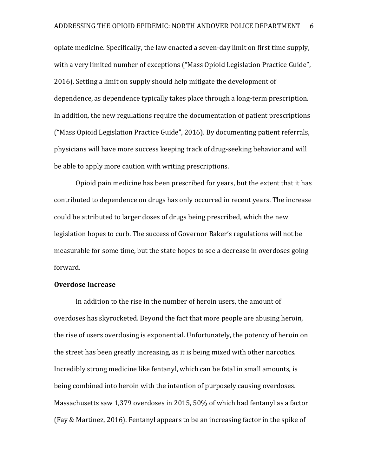opiate medicine. Specifically, the law enacted a seven-day limit on first time supply, with a very limited number of exceptions ("Mass Opioid Legislation Practice Guide", 2016). Setting a limit on supply should help mitigate the development of dependence, as dependence typically takes place through a long-term prescription. In addition, the new regulations require the documentation of patient prescriptions ("Mass Opioid Legislation Practice Guide", 2016). By documenting patient referrals, physicians will have more success keeping track of drug-seeking behavior and will be able to apply more caution with writing prescriptions.

Opioid pain medicine has been prescribed for years, but the extent that it has contributed to dependence on drugs has only occurred in recent years. The increase could be attributed to larger doses of drugs being prescribed, which the new legislation hopes to curb. The success of Governor Baker's regulations will not be measurable for some time, but the state hopes to see a decrease in overdoses going forward.

# **Overdose Increase**

In addition to the rise in the number of heroin users, the amount of overdoses has skyrocketed. Beyond the fact that more people are abusing heroin, the rise of users overdosing is exponential. Unfortunately, the potency of heroin on the street has been greatly increasing, as it is being mixed with other narcotics. Incredibly strong medicine like fentanyl, which can be fatal in small amounts, is being combined into heroin with the intention of purposely causing overdoses. Massachusetts saw 1,379 overdoses in 2015, 50% of which had fentanyl as a factor (Fay & Martinez, 2016). Fentanyl appears to be an increasing factor in the spike of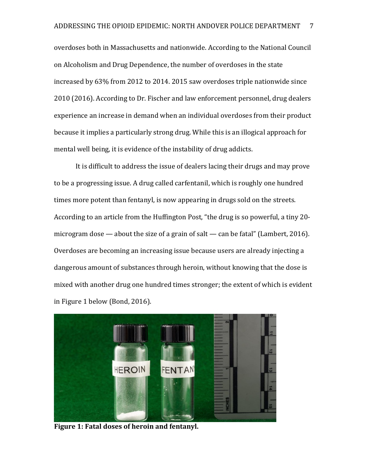overdoses both in Massachusetts and nationwide. According to the National Council on Alcoholism and Drug Dependence, the number of overdoses in the state increased by 63% from 2012 to 2014. 2015 saw overdoses triple nationwide since 2010 (2016). According to Dr. Fischer and law enforcement personnel, drug dealers experience an increase in demand when an individual overdoses from their product because it implies a particularly strong drug. While this is an illogical approach for mental well being, it is evidence of the instability of drug addicts.

It is difficult to address the issue of dealers lacing their drugs and may prove to be a progressing issue. A drug called carfentanil, which is roughly one hundred times more potent than fentanyl, is now appearing in drugs sold on the streets. According to an article from the Huffington Post, "the drug is so powerful, a tiny 20 microgram dose — about the size of a grain of salt — can be fatal" (Lambert, 2016). Overdoses are becoming an increasing issue because users are already injecting a dangerous amount of substances through heroin, without knowing that the dose is mixed with another drug one hundred times stronger; the extent of which is evident in Figure 1 below (Bond, 2016).



**Figure 1: Fatal doses of heroin and fentanyl.**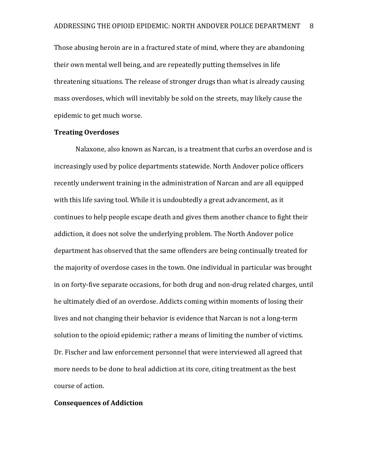Those abusing heroin are in a fractured state of mind, where they are abandoning their own mental well being, and are repeatedly putting themselves in life threatening situations. The release of stronger drugs than what is already causing mass overdoses, which will inevitably be sold on the streets, may likely cause the epidemic to get much worse.

### **Treating Overdoses**

Nalaxone, also known as Narcan, is a treatment that curbs an overdose and is increasingly used by police departments statewide. North Andover police officers recently underwent training in the administration of Narcan and are all equipped with this life saving tool. While it is undoubtedly a great advancement, as it continues to help people escape death and gives them another chance to fight their addiction, it does not solve the underlying problem. The North Andover police department has observed that the same offenders are being continually treated for the majority of overdose cases in the town. One individual in particular was brought in on forty-five separate occasions, for both drug and non-drug related charges, until he ultimately died of an overdose. Addicts coming within moments of losing their lives and not changing their behavior is evidence that Narcan is not a long-term solution to the opioid epidemic; rather a means of limiting the number of victims. Dr. Fischer and law enforcement personnel that were interviewed all agreed that more needs to be done to heal addiction at its core, citing treatment as the best course of action.

#### **Consequences of Addiction**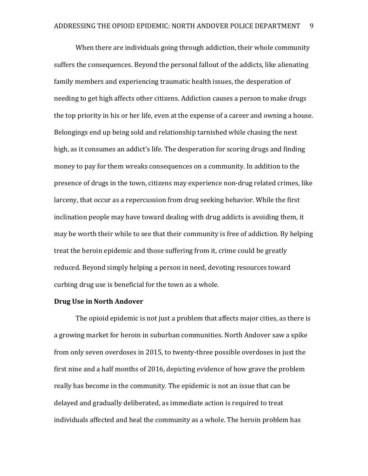When there are individuals going through addiction, their whole community suffers the consequences. Beyond the personal fallout of the addicts, like alienating family members and experiencing traumatic health issues, the desperation of needing to get high affects other citizens. Addiction causes a person to make drugs the top priority in his or her life, even at the expense of a career and owning a house. Belongings end up being sold and relationship tarnished while chasing the next high, as it consumes an addict's life. The desperation for scoring drugs and finding money to pay for them wreaks consequences on a community. In addition to the presence of drugs in the town, citizens may experience non-drug related crimes, like larceny, that occur as a repercussion from drug seeking behavior. While the first inclination people may have toward dealing with drug addicts is avoiding them, it may be worth their while to see that their community is free of addiction. By helping treat the heroin epidemic and those suffering from it, crime could be greatly reduced. Beyond simply helping a person in need, devoting resources toward curbing drug use is beneficial for the town as a whole.

### **Drug Use in North Andover**

The opioid epidemic is not just a problem that affects major cities, as there is a growing market for heroin in suburban communities. North Andover saw a spike from only seven overdoses in 2015, to twenty-three possible overdoses in just the first nine and a half months of 2016, depicting evidence of how grave the problem really has become in the community. The epidemic is not an issue that can be delayed and gradually deliberated, as immediate action is required to treat individuals affected and heal the community as a whole. The heroin problem has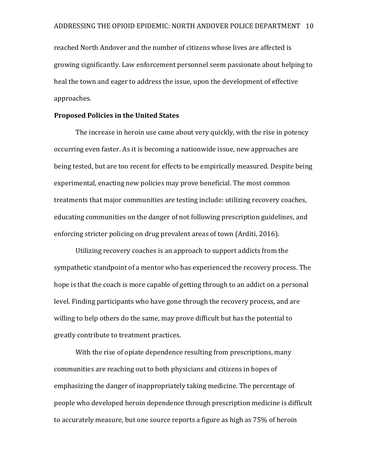reached North Andover and the number of citizens whose lives are affected is growing significantly. Law enforcement personnel seem passionate about helping to heal the town and eager to address the issue, upon the development of effective approaches.

# **Proposed Policies in the United States**

The increase in heroin use came about very quickly, with the rise in potency occurring even faster. As it is becoming a nationwide issue, new approaches are being tested, but are too recent for effects to be empirically measured. Despite being experimental, enacting new policies may prove beneficial. The most common treatments that major communities are testing include: utilizing recovery coaches, educating communities on the danger of not following prescription guidelines, and enforcing stricter policing on drug prevalent areas of town (Arditi, 2016).

Utilizing recovery coaches is an approach to support addicts from the sympathetic standpoint of a mentor who has experienced the recovery process. The hope is that the coach is more capable of getting through to an addict on a personal level. Finding participants who have gone through the recovery process, and are willing to help others do the same, may prove difficult but has the potential to greatly contribute to treatment practices.

With the rise of opiate dependence resulting from prescriptions, many communities are reaching out to both physicians and citizens in hopes of emphasizing the danger of inappropriately taking medicine. The percentage of people who developed heroin dependence through prescription medicine is difficult to accurately measure, but one source reports a figure as high as 75% of heroin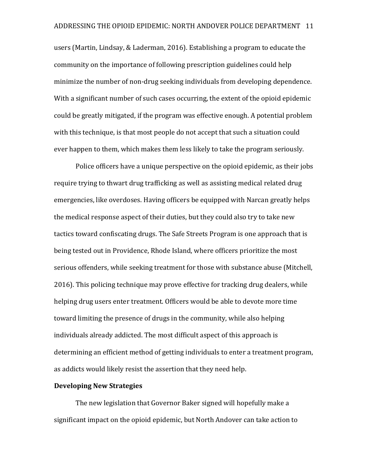users (Martin, Lindsay, & Laderman, 2016). Establishing a program to educate the community on the importance of following prescription guidelines could help minimize the number of non-drug seeking individuals from developing dependence. With a significant number of such cases occurring, the extent of the opioid epidemic could be greatly mitigated, if the program was effective enough. A potential problem with this technique, is that most people do not accept that such a situation could ever happen to them, which makes them less likely to take the program seriously.

Police officers have a unique perspective on the opioid epidemic, as their jobs require trying to thwart drug trafficking as well as assisting medical related drug emergencies, like overdoses. Having officers be equipped with Narcan greatly helps the medical response aspect of their duties, but they could also try to take new tactics toward confiscating drugs. The Safe Streets Program is one approach that is being tested out in Providence, Rhode Island, where officers prioritize the most serious offenders, while seeking treatment for those with substance abuse (Mitchell, 2016). This policing technique may prove effective for tracking drug dealers, while helping drug users enter treatment. Officers would be able to devote more time toward limiting the presence of drugs in the community, while also helping individuals already addicted. The most difficult aspect of this approach is determining an efficient method of getting individuals to enter a treatment program, as addicts would likely resist the assertion that they need help.

## **Developing New Strategies**

The new legislation that Governor Baker signed will hopefully make a significant impact on the opioid epidemic, but North Andover can take action to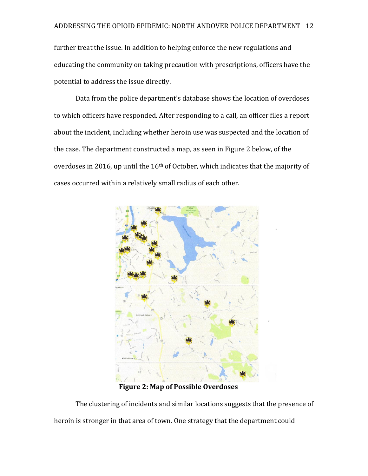further treat the issue. In addition to helping enforce the new regulations and educating the community on taking precaution with prescriptions, officers have the potential to address the issue directly.

Data from the police department's database shows the location of overdoses to which officers have responded. After responding to a call, an officer files a report about the incident, including whether heroin use was suspected and the location of the case. The department constructed a map, as seen in Figure 2 below, of the overdoses in 2016, up until the  $16<sup>th</sup>$  of October, which indicates that the majority of cases occurred within a relatively small radius of each other.



**Figure 2: Map of Possible Overdoses** 

The clustering of incidents and similar locations suggests that the presence of heroin is stronger in that area of town. One strategy that the department could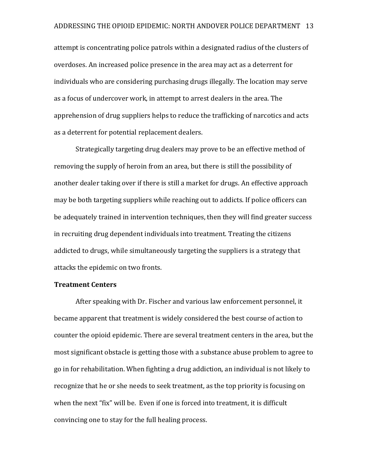attempt is concentrating police patrols within a designated radius of the clusters of overdoses. An increased police presence in the area may act as a deterrent for individuals who are considering purchasing drugs illegally. The location may serve as a focus of undercover work, in attempt to arrest dealers in the area. The apprehension of drug suppliers helps to reduce the trafficking of narcotics and acts as a deterrent for potential replacement dealers.

Strategically targeting drug dealers may prove to be an effective method of removing the supply of heroin from an area, but there is still the possibility of another dealer taking over if there is still a market for drugs. An effective approach may be both targeting suppliers while reaching out to addicts. If police officers can be adequately trained in intervention techniques, then they will find greater success in recruiting drug dependent individuals into treatment. Treating the citizens addicted to drugs, while simultaneously targeting the suppliers is a strategy that attacks the epidemic on two fronts.

### **Treatment Centers**

After speaking with Dr. Fischer and various law enforcement personnel, it became apparent that treatment is widely considered the best course of action to counter the opioid epidemic. There are several treatment centers in the area, but the most significant obstacle is getting those with a substance abuse problem to agree to go in for rehabilitation. When fighting a drug addiction, an individual is not likely to recognize that he or she needs to seek treatment, as the top priority is focusing on when the next "fix" will be. Even if one is forced into treatment, it is difficult convincing one to stay for the full healing process.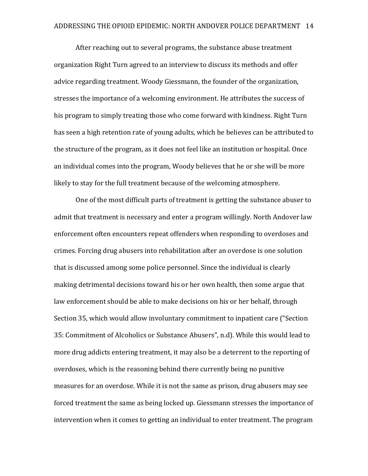After reaching out to several programs, the substance abuse treatment organization Right Turn agreed to an interview to discuss its methods and offer advice regarding treatment. Woody Giessmann, the founder of the organization, stresses the importance of a welcoming environment. He attributes the success of his program to simply treating those who come forward with kindness. Right Turn has seen a high retention rate of young adults, which he believes can be attributed to the structure of the program, as it does not feel like an institution or hospital. Once an individual comes into the program, Woody believes that he or she will be more likely to stay for the full treatment because of the welcoming atmosphere.

One of the most difficult parts of treatment is getting the substance abuser to admit that treatment is necessary and enter a program willingly. North Andover law enforcement often encounters repeat offenders when responding to overdoses and crimes. Forcing drug abusers into rehabilitation after an overdose is one solution that is discussed among some police personnel. Since the individual is clearly making detrimental decisions toward his or her own health, then some argue that law enforcement should be able to make decisions on his or her behalf, through Section 35, which would allow involuntary commitment to inpatient care ("Section 35: Commitment of Alcoholics or Substance Abusers", n.d). While this would lead to more drug addicts entering treatment, it may also be a deterrent to the reporting of overdoses, which is the reasoning behind there currently being no punitive measures for an overdose. While it is not the same as prison, drug abusers may see forced treatment the same as being locked up. Giessmann stresses the importance of intervention when it comes to getting an individual to enter treatment. The program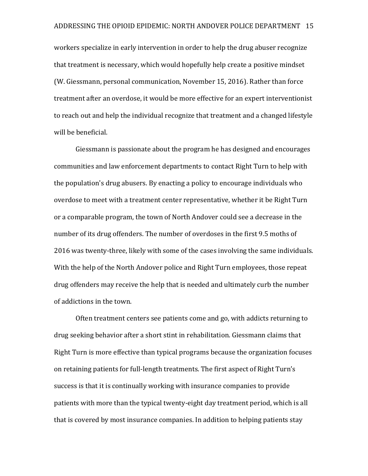workers specialize in early intervention in order to help the drug abuser recognize that treatment is necessary, which would hopefully help create a positive mindset (W. Giessmann, personal communication, November 15, 2016). Rather than force treatment after an overdose, it would be more effective for an expert interventionist to reach out and help the individual recognize that treatment and a changed lifestyle will be beneficial.

Giessmann is passionate about the program he has designed and encourages communities and law enforcement departments to contact Right Turn to help with the population's drug abusers. By enacting a policy to encourage individuals who overdose to meet with a treatment center representative, whether it be Right Turn or a comparable program, the town of North Andover could see a decrease in the number of its drug offenders. The number of overdoses in the first 9.5 moths of 2016 was twenty-three, likely with some of the cases involving the same individuals. With the help of the North Andover police and Right Turn employees, those repeat drug offenders may receive the help that is needed and ultimately curb the number of addictions in the town.

Often treatment centers see patients come and go, with addicts returning to drug seeking behavior after a short stint in rehabilitation. Giessmann claims that Right Turn is more effective than typical programs because the organization focuses on retaining patients for full-length treatments. The first aspect of Right Turn's success is that it is continually working with insurance companies to provide patients with more than the typical twenty-eight day treatment period, which is all that is covered by most insurance companies. In addition to helping patients stay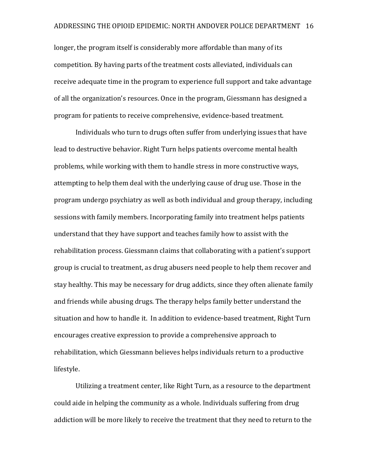longer, the program itself is considerably more affordable than many of its competition. By having parts of the treatment costs alleviated, individuals can receive adequate time in the program to experience full support and take advantage of all the organization's resources. Once in the program, Giessmann has designed a program for patients to receive comprehensive, evidence-based treatment.

Individuals who turn to drugs often suffer from underlying issues that have lead to destructive behavior. Right Turn helps patients overcome mental health problems, while working with them to handle stress in more constructive ways, attempting to help them deal with the underlying cause of drug use. Those in the program undergo psychiatry as well as both individual and group therapy, including sessions with family members. Incorporating family into treatment helps patients understand that they have support and teaches family how to assist with the rehabilitation process. Giessmann claims that collaborating with a patient's support group is crucial to treatment, as drug abusers need people to help them recover and stay healthy. This may be necessary for drug addicts, since they often alienate family and friends while abusing drugs. The therapy helps family better understand the situation and how to handle it. In addition to evidence-based treatment, Right Turn encourages creative expression to provide a comprehensive approach to rehabilitation, which Giessmann believes helps individuals return to a productive lifestyle.

Utilizing a treatment center, like Right Turn, as a resource to the department could aide in helping the community as a whole. Individuals suffering from drug addiction will be more likely to receive the treatment that they need to return to the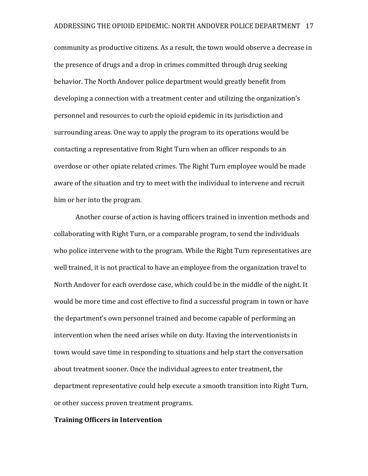community as productive citizens. As a result, the town would observe a decrease in the presence of drugs and a drop in crimes committed through drug seeking behavior. The North Andover police department would greatly benefit from developing a connection with a treatment center and utilizing the organization's personnel and resources to curb the opioid epidemic in its jurisdiction and surrounding areas. One way to apply the program to its operations would be contacting a representative from Right Turn when an officer responds to an overdose or other opiate related crimes. The Right Turn employee would be made aware of the situation and try to meet with the individual to intervene and recruit him or her into the program.

Another course of action is having officers trained in invention methods and collaborating with Right Turn, or a comparable program, to send the individuals who police intervene with to the program. While the Right Turn representatives are well trained, it is not practical to have an employee from the organization travel to North Andover for each overdose case, which could be in the middle of the night. It would be more time and cost effective to find a successful program in town or have the department's own personnel trained and become capable of performing an intervention when the need arises while on duty. Having the interventionists in town would save time in responding to situations and help start the conversation about treatment sooner. Once the individual agrees to enter treatment, the department representative could help execute a smooth transition into Right Turn, or other success proven treatment programs.

### **Training Officers in Intervention**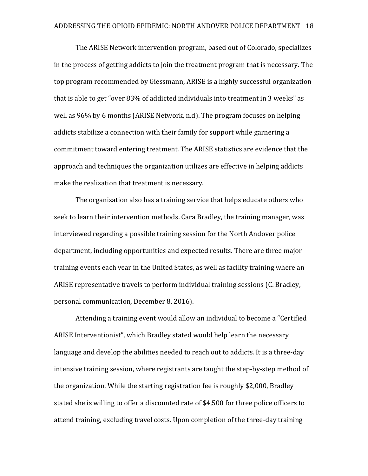The ARISE Network intervention program, based out of Colorado, specializes in the process of getting addicts to join the treatment program that is necessary. The top program recommended by Giessmann, ARISE is a highly successful organization that is able to get "over 83% of addicted individuals into treatment in 3 weeks" as well as 96% by 6 months (ARISE Network, n.d). The program focuses on helping addicts stabilize a connection with their family for support while garnering a commitment toward entering treatment. The ARISE statistics are evidence that the approach and techniques the organization utilizes are effective in helping addicts make the realization that treatment is necessary.

The organization also has a training service that helps educate others who seek to learn their intervention methods. Cara Bradley, the training manager, was interviewed regarding a possible training session for the North Andover police department, including opportunities and expected results. There are three major training events each year in the United States, as well as facility training where an ARISE representative travels to perform individual training sessions (C. Bradley, personal communication, December 8, 2016).

Attending a training event would allow an individual to become a "Certified ARISE Interventionist", which Bradley stated would help learn the necessary language and develop the abilities needed to reach out to addicts. It is a three-day intensive training session, where registrants are taught the step-by-step method of the organization. While the starting registration fee is roughly \$2,000, Bradley stated she is willing to offer a discounted rate of \$4,500 for three police officers to attend training, excluding travel costs. Upon completion of the three-day training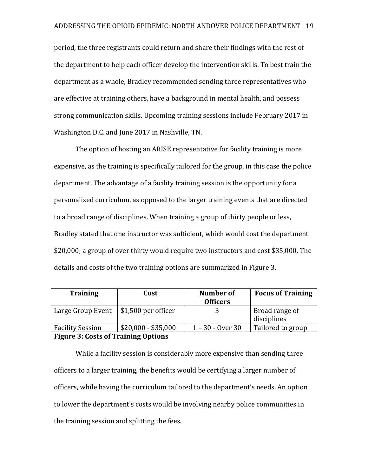period, the three registrants could return and share their findings with the rest of the department to help each officer develop the intervention skills. To best train the department as a whole, Bradley recommended sending three representatives who are effective at training others, have a background in mental health, and possess strong communication skills. Upcoming training sessions include February 2017 in Washington D.C. and June 2017 in Nashville, TN.

The option of hosting an ARISE representative for facility training is more expensive, as the training is specifically tailored for the group, in this case the police department. The advantage of a facility training session is the opportunity for a personalized curriculum, as opposed to the larger training events that are directed to a broad range of disciplines. When training a group of thirty people or less, Bradley stated that one instructor was sufficient, which would cost the department \$20,000; a group of over thirty would require two instructors and cost \$35,000. The details and costs of the two training options are summarized in Figure 3.

| <b>Training</b>         | Cost                              | Number of<br><b>Officers</b> | <b>Focus of Training</b>      |
|-------------------------|-----------------------------------|------------------------------|-------------------------------|
| Large Group Event       | $\frac{1}{2}$ \$1,500 per officer |                              | Broad range of<br>disciplines |
| <b>Facility Session</b> | $$20,000 - $35,000$               | $1 - 30 -$ Over 30           | Tailored to group             |

# **Figure 3: Costs of Training Options**

While a facility session is considerably more expensive than sending three officers to a larger training, the benefits would be certifying a larger number of officers, while having the curriculum tailored to the department's needs. An option to lower the department's costs would be involving nearby police communities in the training session and splitting the fees.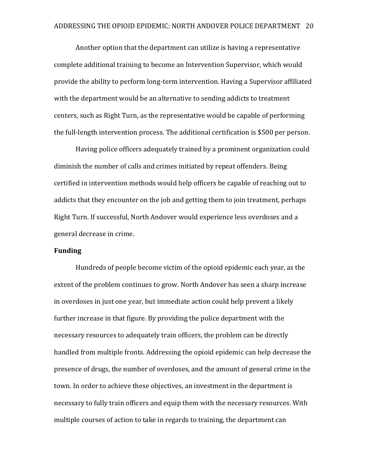Another option that the department can utilize is having a representative complete additional training to become an Intervention Supervisor, which would provide the ability to perform long-term intervention. Having a Supervisor affiliated with the department would be an alternative to sending addicts to treatment centers, such as Right Turn, as the representative would be capable of performing the full-length intervention process. The additional certification is \$500 per person.

Having police officers adequately trained by a prominent organization could diminish the number of calls and crimes initiated by repeat offenders. Being certified in intervention methods would help officers be capable of reaching out to addicts that they encounter on the job and getting them to join treatment, perhaps Right Turn. If successful, North Andover would experience less overdoses and a general decrease in crime.

#### **Funding**

Hundreds of people become victim of the opioid epidemic each year, as the extent of the problem continues to grow. North Andover has seen a sharp increase in overdoses in just one year, but immediate action could help prevent a likely further increase in that figure. By providing the police department with the necessary resources to adequately train officers, the problem can be directly handled from multiple fronts. Addressing the opioid epidemic can help decrease the presence of drugs, the number of overdoses, and the amount of general crime in the town. In order to achieve these objectives, an investment in the department is necessary to fully train officers and equip them with the necessary resources. With multiple courses of action to take in regards to training, the department can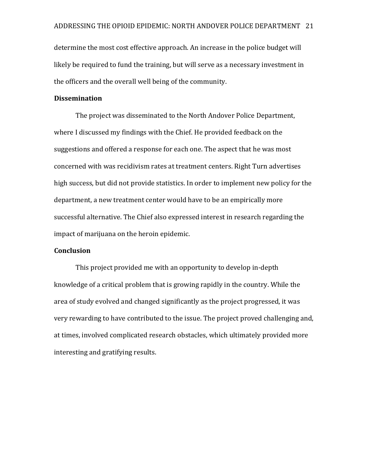determine the most cost effective approach. An increase in the police budget will likely be required to fund the training, but will serve as a necessary investment in the officers and the overall well being of the community.

#### **Dissemination**

The project was disseminated to the North Andover Police Department, where I discussed my findings with the Chief. He provided feedback on the suggestions and offered a response for each one. The aspect that he was most concerned with was recidivism rates at treatment centers. Right Turn advertises high success, but did not provide statistics. In order to implement new policy for the department, a new treatment center would have to be an empirically more successful alternative. The Chief also expressed interest in research regarding the impact of marijuana on the heroin epidemic.

#### **Conclusion**

This project provided me with an opportunity to develop in-depth knowledge of a critical problem that is growing rapidly in the country. While the area of study evolved and changed significantly as the project progressed, it was very rewarding to have contributed to the issue. The project proved challenging and, at times, involved complicated research obstacles, which ultimately provided more interesting and gratifying results.